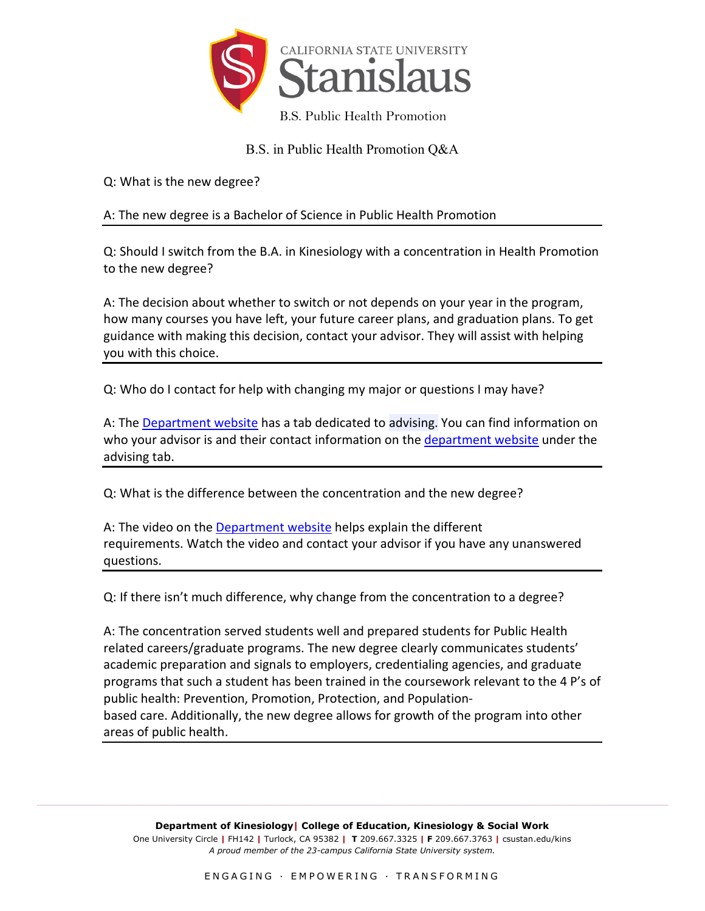

B.S. in Public Health Promotion Q&A

Q: What is the new degree?

## A: The new degree is a Bachelor of Science in Public Health Promotion

Q: Should I switch from the B.A. in Kinesiology with a concentration in Health Promotion to the new degree?

A: The decision about whether to switch or not depends on your year in the program, how many courses you have left, your future career plans, and graduation plans. To get guidance with making this decision, contact your advisor. They will assist with helping you with this choice.

Q: Who do I contact for help with changing my major or questions I may have?

A: The [Department website](https://www.csustan.edu/kinesiology/advising) has a tab dedicated to advising. You can find information on who your advisor is and their contact information on the [department website](https://www.csustan.edu/kinesiology/advising) under the advising tab.

Q: What is the difference between the concentration and the new degree?

A: The video on the [Department website](https://www.csustan.edu/kinesiology/public-health-promotion) helps explain the different requirements. Watch the video and contact your advisor if you have any unanswered questions.

Q: If there isn't much difference, why change from the concentration to a degree?

A: The concentration served students well and prepared students for Public Health related careers/graduate programs. The new degree clearly communicates students' academic preparation and signals to employers, credentialing agencies, and graduate programs that such a student has been trained in the coursework relevant to the 4 P's of public health: Prevention, Promotion, Protection, and Populationbased care. Additionally, the new degree allows for growth of the program into other areas of public health.